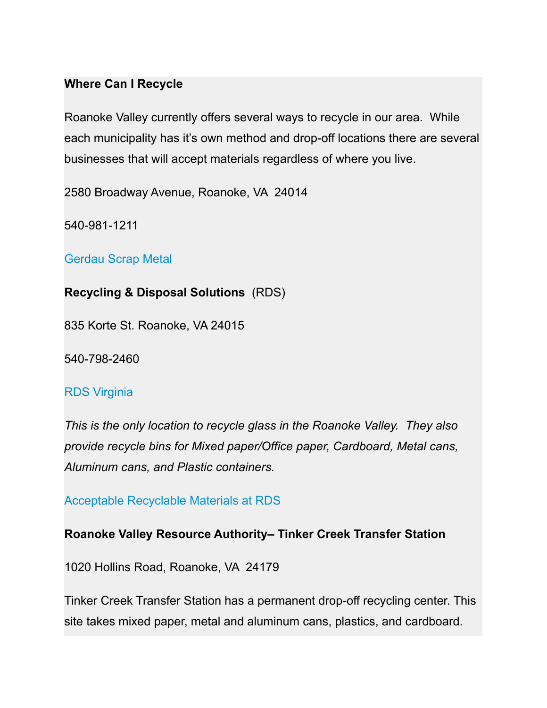### **Where Can I Recycle**

Roanoke Valley currently offers several ways to recycle in our area. While each municipality has it's own method and drop-off locations there are several businesses that will accept materials regardless of where you live.

2580 Broadway Avenue, Roanoke, VA 24014

540-981-1211

[Gerdau Scrap Metal](https://www2.gerdau.com/metals-recycling)

**Recycling & Disposal Solutions** (RDS)

835 Korte St. Roanoke, VA 24015

540-798-2460

#### [RDS Virginia](http://www.rds-virginia.com/)

*This is the only location to recycle glass in the Roanoke Valley. They also provide recycle bins for Mixed paper/Office paper, Cardboard, Metal cans, Aluminum cans, and Plastic containers.*

#### [Acceptable Recyclable Materials at RDS](https://cleanvalley.org/wp-content/uploads/2021/09/Acceptable-Recyclable-Materials-at-RDS.pdf)

#### **Roanoke Valley Resource Authority– Tinker Creek Transfer Station**

1020 Hollins Road, Roanoke, VA 24179

Tinker Creek Transfer Station has a permanent drop-off recycling center. This site takes mixed paper, metal and aluminum cans, plastics, and cardboard.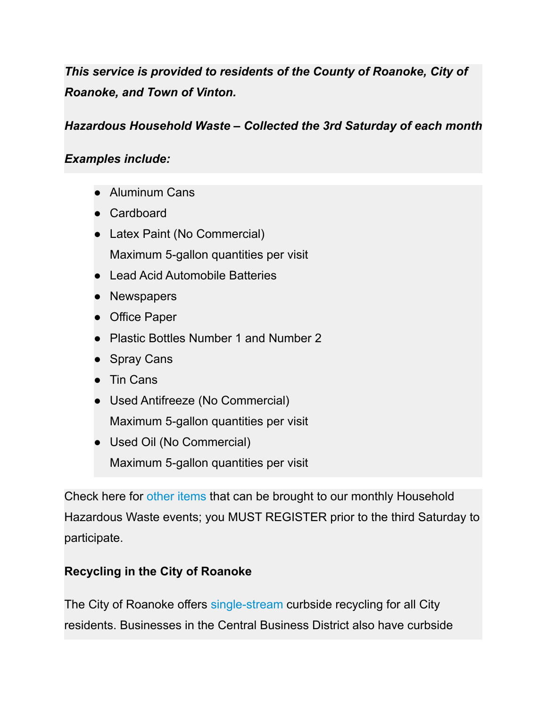*This service is provided to residents of the County of Roanoke, City of Roanoke, and Town of Vinton.*

*Hazardous Household Waste – Collected the 3rd Saturday of each month*

## *Examples include:*

- Aluminum Cans
- Cardboard
- Latex Paint (No Commercial) Maximum 5-gallon quantities per visit
- Lead Acid Automobile Batteries
- Newspapers
- Office Paper
- Plastic Bottles Number 1 and Number 2
- Spray Cans
- Tin Cans
- Used Antifreeze (No Commercial) Maximum 5-gallon quantities per visit
- Used Oil (No Commercial) Maximum 5-gallon quantities per visit

Check here for [other items](http://va-rvra.civicplus.com/DocumentCenter/View/11) that can be brought to our monthly Household Hazardous Waste events; you MUST REGISTER prior to the third Saturday to participate.

## **Recycling in the City of Roanoke**

The City of Roanoke offers [single-stream](http://roanokeva.gov/1863/Single-Stream-Recycling-Information) curbside recycling for all City residents. Businesses in the Central Business District also have curbside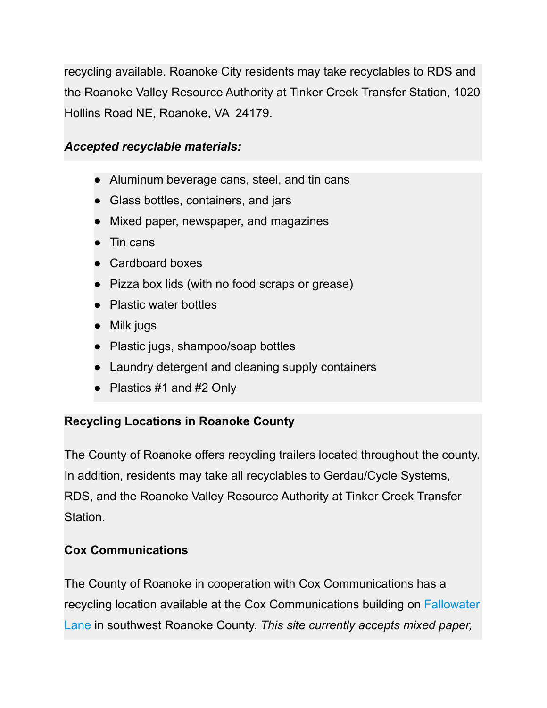recycling available. Roanoke City residents may take recyclables to RDS and the Roanoke Valley Resource Authority at Tinker Creek Transfer Station, 1020 Hollins Road NE, Roanoke, VA 24179.

## *Accepted recyclable materials:*

- Aluminum beverage cans, steel, and tin cans
- Glass bottles, containers, and jars
- Mixed paper, newspaper, and magazines
- Tin cans
- Cardboard boxes
- Pizza box lids (with no food scraps or grease)
- Plastic water bottles
- Milk jugs
- Plastic jugs, shampoo/soap bottles
- Laundry detergent and cleaning supply containers
- Plastics #1 and #2 Only

## **Recycling Locations in Roanoke County**

The County of Roanoke offers recycling trailers located throughout the county. In addition, residents may take all recyclables to Gerdau/Cycle Systems, RDS, and the Roanoke Valley Resource Authority at Tinker Creek Transfer Station.

## **Cox Communications**

The County of Roanoke in cooperation with Cox Communications has a recycling location available at the Cox Communications building on [Fallowater](http://maps.google.com/maps?f=q&source=s_q&hl=en&geocode=&q=Cox+Communications:+Cox+Media,+Fallowater+Lane,+Roanoke,+VA&aq=0&sll=37.0625,-95.677068&sspn=29.578161,55.283203&ie=UTF8&hq=Cox+Communications:+Cox+Media,&hnear=Cox+Communications:+Cox+Media,+5400+Fallowater+Ln,+Roanoke,+Virginia+24018&ll=37.227321,-79.96768&spn=0.036973,0.090551&z=14&iwloc=A) [Lane](http://maps.google.com/maps?f=q&source=s_q&hl=en&geocode=&q=Cox+Communications:+Cox+Media,+Fallowater+Lane,+Roanoke,+VA&aq=0&sll=37.0625,-95.677068&sspn=29.578161,55.283203&ie=UTF8&hq=Cox+Communications:+Cox+Media,&hnear=Cox+Communications:+Cox+Media,+5400+Fallowater+Ln,+Roanoke,+Virginia+24018&ll=37.227321,-79.96768&spn=0.036973,0.090551&z=14&iwloc=A) in southwest Roanoke County. *This site currently accepts mixed paper,*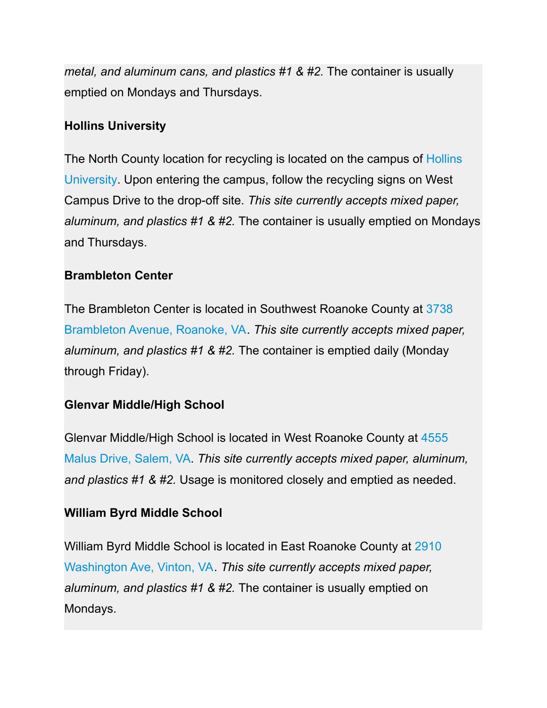*metal, and aluminum cans, and plastics #1 & #2.* The container is usually emptied on Mondays and Thursdays.

### **Hollins University**

The North County location for recycling is located on the campus of [Hollins](http://maps.google.com/maps?f=q&source=s_q&hl=en&geocode=&q=Hollins+University,+Roanoke,+VA&aq=&sll=37.363063,-79.94339&sspn=0.29525,0.724411&ie=UTF8&hq=Hollins+University,+Roanoke,+VA&hnear=Hollins+University,+7916+Williamson+Rd,+Roanoke,+Virginia+24019-4436&z=14) [University](http://maps.google.com/maps?f=q&source=s_q&hl=en&geocode=&q=Hollins+University,+Roanoke,+VA&aq=&sll=37.363063,-79.94339&sspn=0.29525,0.724411&ie=UTF8&hq=Hollins+University,+Roanoke,+VA&hnear=Hollins+University,+7916+Williamson+Rd,+Roanoke,+Virginia+24019-4436&z=14). Upon entering the campus, follow the recycling signs on West Campus Drive to the drop-off site. *This site currently accepts mixed paper, aluminum, and plastics #1 & #2.* The container is usually emptied on Mondays and Thursdays.

#### **Brambleton Center**

The Brambleton Center is located in Southwest Roanoke County at [3738](http://goo.gl/maps/EF55q) [Brambleton Avenue, Roanoke, VA](http://goo.gl/maps/EF55q). *This site currently accepts mixed paper, aluminum, and plastics #1 & #2.* The container is emptied daily (Monday through Friday).

#### **Glenvar Middle/High School**

Glenvar Middle/High School is located in West Roanoke County at [4555](http://maps.google.com/maps?f=q&source=s_q&hl=en&geocode=&q=4555+Malus+Drive,+Salem,+VA&aq=0&sll=37.246438,-80.034242&sspn=0.009668,0.022638&ie=UTF8&hq=&hnear=4555+Malus+Dr,+Salem,+Virginia+24153&z=16) [Malus Drive, Salem, VA.](http://maps.google.com/maps?f=q&source=s_q&hl=en&geocode=&q=4555+Malus+Drive,+Salem,+VA&aq=0&sll=37.246438,-80.034242&sspn=0.009668,0.022638&ie=UTF8&hq=&hnear=4555+Malus+Dr,+Salem,+Virginia+24153&z=16) *This site currently accepts mixed paper, aluminum, and plastics #1 & #2.* Usage is monitored closely and emptied as needed.

#### **William Byrd Middle School**

William Byrd Middle School is located in East Roanoke County at [2910](http://maps.google.com/maps?f=q&source=s_q&hl=en&geocode=&q=2910+East+Washington+Avenue,+Vinton,+VA&aq=0&sll=37.279128,-80.13858&sspn=0.009664,0.022638&ie=UTF8&hq=&hnear=2910+E+Washington+Ave,+Vinton,+Virginia+24179&z=16) [Washington Ave, Vinton, VA.](http://maps.google.com/maps?f=q&source=s_q&hl=en&geocode=&q=2910+East+Washington+Avenue,+Vinton,+VA&aq=0&sll=37.279128,-80.13858&sspn=0.009664,0.022638&ie=UTF8&hq=&hnear=2910+E+Washington+Ave,+Vinton,+Virginia+24179&z=16) *This site currently accepts mixed paper, aluminum, and plastics #1 & #2.* The container is usually emptied on Mondays.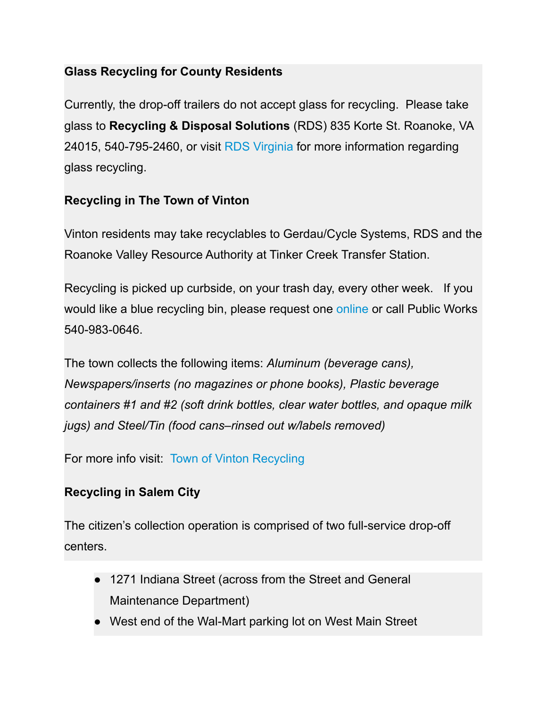## **Glass Recycling for County Residents**

Currently, the drop-off trailers do not accept glass for recycling. Please take glass to **Recycling & Disposal Solutions** (RDS) 835 Korte St. Roanoke, VA 24015, 540-795-2460, or visit [RDS Virginia](http://www.rds-virginia.com/) for more information regarding glass recycling.

# **Recycling in The Town of Vinton**

Vinton residents may take recyclables to Gerdau/Cycle Systems, RDS and the Roanoke Valley Resource Authority at Tinker Creek Transfer Station.

Recycling is picked up curbside, on your trash day, every other week. If you would like a blue recycling bin, please request one [online](http://www.vintonva.gov/RequestTracker.aspx) or call Public Works 540-983-0646.

The town collects the following items: *Aluminum (beverage cans), Newspapers/inserts (no magazines or phone books), Plastic beverage containers #1 and #2 (soft drink bottles, clear water bottles, and opaque milk jugs) and Steel/Tin (food cans–rinsed out w/labels removed)*

For more info visit: [Town of Vinton Recycling](https://www.vintonva.gov/246/Recycling)

# **Recycling in Salem City**

The citizen's collection operation is comprised of two full-service drop-off centers.

- 1271 Indiana Street (across from the Street and General Maintenance Department)
- West end of the Wal-Mart parking lot on West Main Street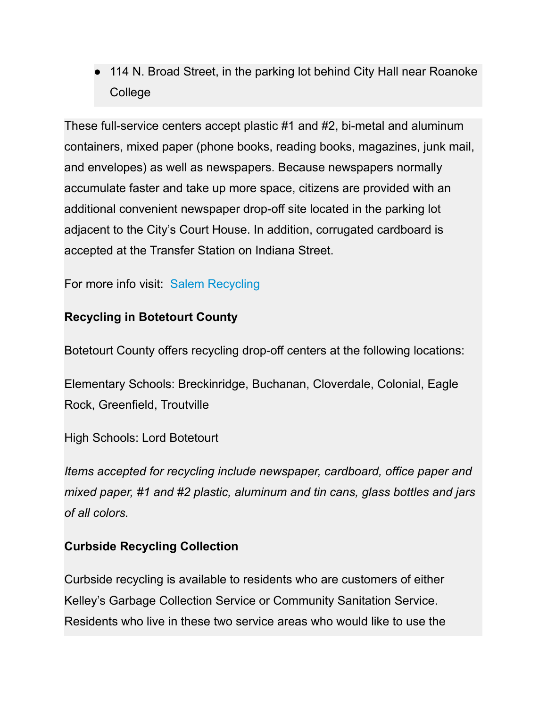● 114 N. Broad Street, in the parking lot behind City Hall near Roanoke College

These full-service centers accept plastic #1 and #2, bi-metal and aluminum containers, mixed paper (phone books, reading books, magazines, junk mail, and envelopes) as well as newspapers. Because newspapers normally accumulate faster and take up more space, citizens are provided with an additional convenient newspaper drop-off site located in the parking lot adjacent to the City's Court House. In addition, corrugated cardboard is accepted at the Transfer Station on Indiana Street.

For more info visit: [Salem Recycling](https://www.salemva.gov/Departments/Street-General-Maintenance/Recycling)

## **Recycling in Botetourt County**

Botetourt County offers recycling drop-off centers at the following locations:

Elementary Schools: Breckinridge, Buchanan, Cloverdale, Colonial, Eagle Rock, Greenfield, Troutville

High Schools: Lord Botetourt

*Items accepted for recycling include newspaper, cardboard, office paper and mixed paper, #1 and #2 plastic, aluminum and tin cans, glass bottles and jars of all colors.*

## **Curbside Recycling Collection**

Curbside recycling is available to residents who are customers of either Kelley's Garbage Collection Service or Community Sanitation Service. Residents who live in these two service areas who would like to use the